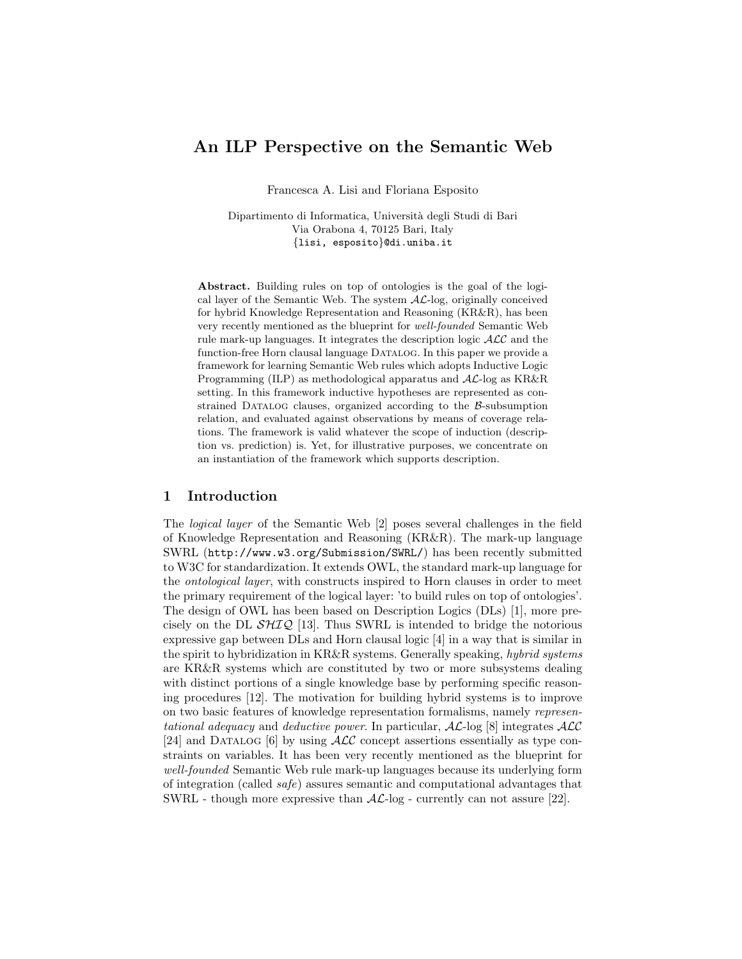# An ILP Perspective on the Semantic Web

Francesca A. Lisi and Floriana Esposito

Dipartimento di Informatica, Universit`a degli Studi di Bari Via Orabona 4, 70125 Bari, Italy {lisi, esposito}@di.uniba.it

Abstract. Building rules on top of ontologies is the goal of the logical layer of the Semantic Web. The system  $AL$ -log, originally conceived for hybrid Knowledge Representation and Reasoning (KR&R), has been very recently mentioned as the blueprint for well-founded Semantic Web rule mark-up languages. It integrates the description logic  $\mathcal{ALC}$  and the function-free Horn clausal language DATALOG. In this paper we provide a framework for learning Semantic Web rules which adopts Inductive Logic Programming (ILP) as methodological apparatus and AL-log as KR&R setting. In this framework inductive hypotheses are represented as constrained DATALOG clauses, organized according to the  $\beta$ -subsumption relation, and evaluated against observations by means of coverage relations. The framework is valid whatever the scope of induction (description vs. prediction) is. Yet, for illustrative purposes, we concentrate on an instantiation of the framework which supports description.

## 1 Introduction

The logical layer of the Semantic Web [2] poses several challenges in the field of Knowledge Representation and Reasoning (KR&R). The mark-up language SWRL (http://www.w3.org/Submission/SWRL/) has been recently submitted to W3C for standardization. It extends OWL, the standard mark-up language for the ontological layer, with constructs inspired to Horn clauses in order to meet the primary requirement of the logical layer: 'to build rules on top of ontologies'. The design of OWL has been based on Description Logics (DLs) [1], more precisely on the DL  $\mathcal{SHIQ}$  [13]. Thus SWRL is intended to bridge the notorious expressive gap between DLs and Horn clausal logic [4] in a way that is similar in the spirit to hybridization in KR&R systems. Generally speaking, hybrid systems are KR&R systems which are constituted by two or more subsystems dealing with distinct portions of a single knowledge base by performing specific reasoning procedures [12]. The motivation for building hybrid systems is to improve on two basic features of knowledge representation formalisms, namely representational adequacy and deductive power. In particular,  $AL$ -log [8] integrates  $ALC$ [24] and DATALOG [6] by using  $\mathcal{ALC}$  concept assertions essentially as type constraints on variables. It has been very recently mentioned as the blueprint for well-founded Semantic Web rule mark-up languages because its underlying form of integration (called safe) assures semantic and computational advantages that SWRL - though more expressive than  $AL$ -log - currently can not assure [22].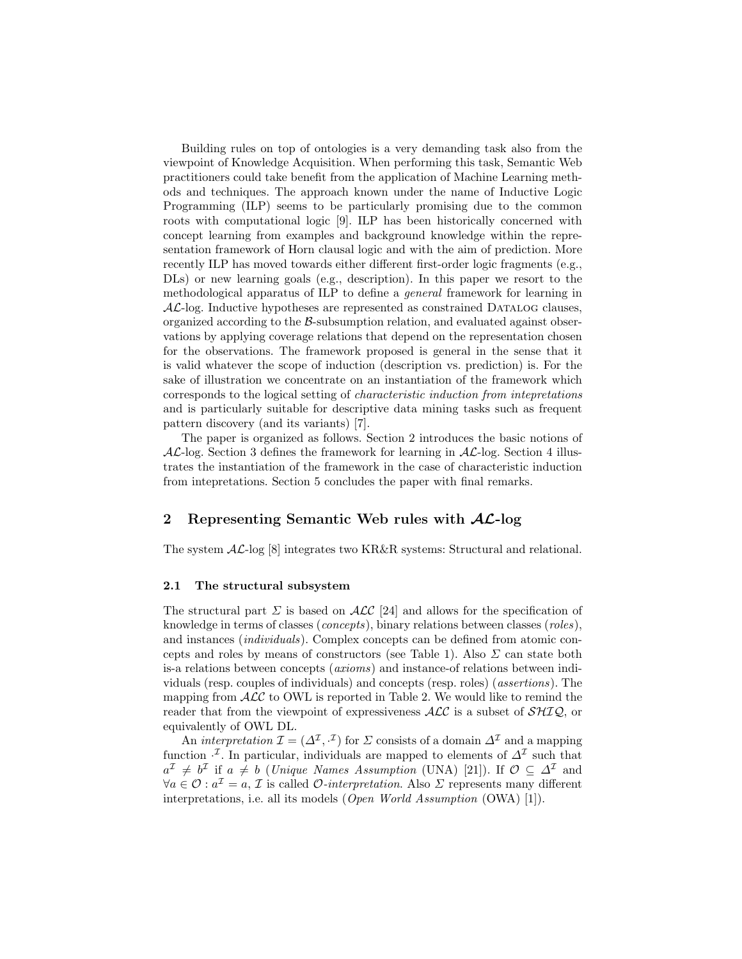Building rules on top of ontologies is a very demanding task also from the viewpoint of Knowledge Acquisition. When performing this task, Semantic Web practitioners could take benefit from the application of Machine Learning methods and techniques. The approach known under the name of Inductive Logic Programming (ILP) seems to be particularly promising due to the common roots with computational logic [9]. ILP has been historically concerned with concept learning from examples and background knowledge within the representation framework of Horn clausal logic and with the aim of prediction. More recently ILP has moved towards either different first-order logic fragments (e.g., DLs) or new learning goals (e.g., description). In this paper we resort to the methodological apparatus of ILP to define a general framework for learning in  $AL$ -log. Inductive hypotheses are represented as constrained DATALOG clauses, organized according to the  $\beta$ -subsumption relation, and evaluated against observations by applying coverage relations that depend on the representation chosen for the observations. The framework proposed is general in the sense that it is valid whatever the scope of induction (description vs. prediction) is. For the sake of illustration we concentrate on an instantiation of the framework which corresponds to the logical setting of characteristic induction from intepretations and is particularly suitable for descriptive data mining tasks such as frequent pattern discovery (and its variants) [7].

The paper is organized as follows. Section 2 introduces the basic notions of  $AL$ -log. Section 3 defines the framework for learning in  $AL$ -log. Section 4 illustrates the instantiation of the framework in the case of characteristic induction from intepretations. Section 5 concludes the paper with final remarks.

## 2 Representing Semantic Web rules with  $AL$ -log

The system AL-log [8] integrates two KR&R systems: Structural and relational.

### 2.1 The structural subsystem

The structural part  $\Sigma$  is based on  $\mathcal{ALC}$  [24] and allows for the specification of knowledge in terms of classes (concepts), binary relations between classes (roles), and instances (individuals). Complex concepts can be defined from atomic concepts and roles by means of constructors (see Table 1). Also  $\Sigma$  can state both is-a relations between concepts (axioms) and instance-of relations between individuals (resp. couples of individuals) and concepts (resp. roles) (assertions). The mapping from  $\mathcal{ALC}$  to OWL is reported in Table 2. We would like to remind the reader that from the viewpoint of expressiveness  $\text{ALC}$  is a subset of  $\text{SHIQ}$ , or equivalently of OWL DL.

An *interpretation*  $\mathcal{I} = (\Delta^{\mathcal{I}}, \cdot^{\mathcal{I}})$  for  $\Sigma$  consists of a domain  $\Delta^{\mathcal{I}}$  and a mapping function  $\cdot^{\mathcal{I}}$ . In particular, individuals are mapped to elements of  $\Delta^{\mathcal{I}}$  such that  $a^{\mathcal{I}} \neq b^{\mathcal{I}}$  if  $a \neq b$  (*Unique Names Assumption* (UNA) [21]). If  $\mathcal{O} \subseteq \Delta^{\mathcal{I}}$  and  $\forall a \in \mathcal{O} : a^{\mathcal{I}} = a, \mathcal{I}$  is called  $\mathcal{O}\text{-}interpretation$ . Also  $\Sigma$  represents many different interpretations, i.e. all its models (Open World Assumption (OWA) [1]).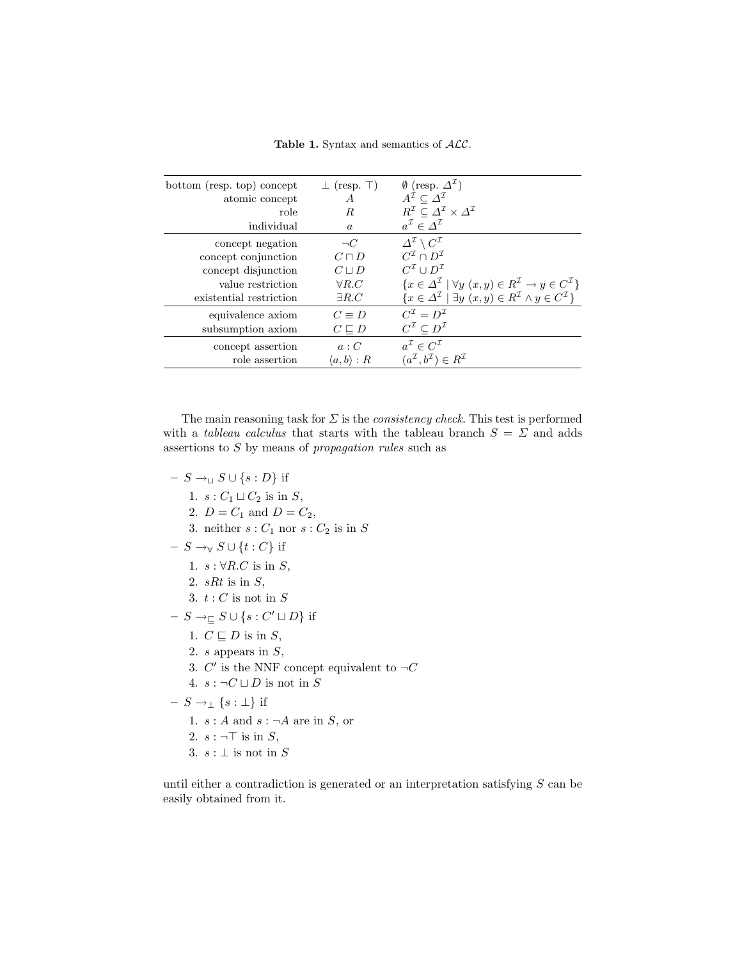Table 1. Syntax and semantics of  $ALC$ .

| bottom (resp. top) concept | $\perp$ (resp. $\perp$ ) | $\emptyset$ (resp. $\Delta^{\mathcal{I}}$ )                                                                     |
|----------------------------|--------------------------|-----------------------------------------------------------------------------------------------------------------|
| atomic concept             | A                        | $A^{\mathcal{I}} \subset \Delta^{\mathcal{I}}$                                                                  |
| role                       | R.                       | $R^{\mathcal{I}} \subseteq \varDelta^{\mathcal{I}} \times \varDelta^{\mathcal{I}}$                              |
| individual                 | $\alpha$                 | $a^{\mathcal{I}} \in \Delta^{\mathcal{I}}$                                                                      |
| concept negation           | $\neg C$                 | $\Delta^{\mathcal{I}} \setminus C^{\mathcal{I}}$                                                                |
| concept conjunction        | $C\sqcap D$              | $C^{\mathcal{I}} \cap D^{\mathcal{I}}$                                                                          |
| concept disjunction        | $C \sqcup D$             | $C^{\mathcal{I}} \cup D^{\mathcal{I}}$                                                                          |
| value restriction          | $\forall R.C$            | $\{x \in \Delta^{\mathcal{I}} \mid \forall y \ (x, y) \in R^{\mathcal{I}} \rightarrow y \in C^{\mathcal{I}}\}\$ |
| existential restriction    | $\exists R.C$            | $\{x \in \Delta^{\mathcal{I}} \mid \exists y \ (x, y) \in R^{\mathcal{I}} \land y \in C^{\mathcal{I}}\}\$       |
| equivalence axiom          | $C = D$                  | $C^{\mathcal{I}}=D^{\mathcal{I}}$                                                                               |
| subsumption axiom          | $C \sqsubseteq D$        | $C^{\mathcal{I}}\subset D^{\mathcal{I}}$                                                                        |
| concept assertion          | a : C                    | $a^{\mathcal{I}} \in C^{\mathcal{I}}$                                                                           |
| role assertion             | $\langle a,b\rangle:R$   | $(a^{\mathcal{I}}, b^{\mathcal{I}}) \in R^{\mathcal{I}}$                                                        |

The main reasoning task for  $\Sigma$  is the *consistency check*. This test is performed with a *tableau calculus* that starts with the tableau branch  $S = \Sigma$  and adds assertions to S by means of propagation rules such as

- $S \rightarrow<sub>□</sub> S ∪ {s : D}$  if
	- 1.  $s: C_1 \sqcup C_2$  is in S,
	- 2.  $D = C_1$  and  $D = C_2$ ,
	- 3. neither  $s: C_1$  nor  $s: C_2$  is in S
- $S \rightarrow_{\forall} S \cup \{t : C\}$  if
	- 1.  $s : \forall R.C$  is in S,
	- 2.  $sRt$  is in  $S$ ,
	- 3.  $t:C$  is not in  ${\cal S}$
- $S \rightarrow_{\sqsubseteq} S \cup \{s : C' \sqcup D\}$  if
	- 1.  $C \sqsubseteq D$  is in  $S$ ,
	- 2.  $s$  appears in  $S$ ,
	- 3.  $C'$  is the NNF concept equivalent to  $\neg C$
	- 4.  $s : \neg C \sqcup D$  is not in S
- $S \rightarrow_{\perp} \{s : \perp\}$  if
	- 1.  $s : A$  and  $s : \neg A$  are in S, or
	- 2.  $s : \neg \top$  is in S,
	- 3.  $s : \bot$  is not in S

until either a contradiction is generated or an interpretation satisfying  $S$  can be easily obtained from it.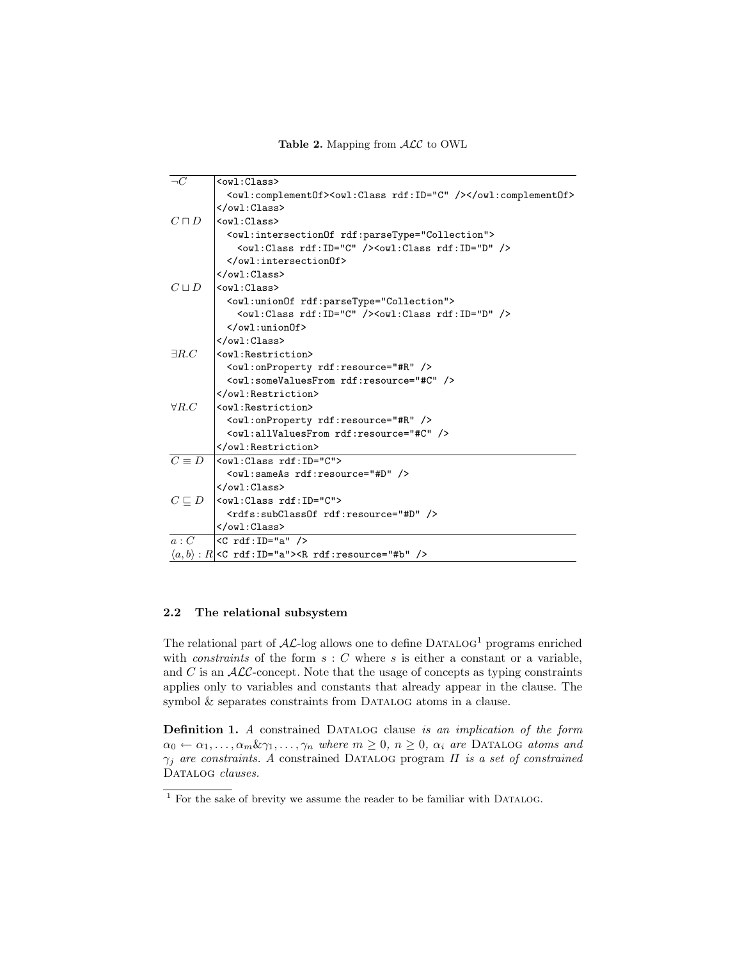Table 2. Mapping from  $ALC$  to OWL

| $\neg C$        | $ov1:Class>$                                                            |
|-----------------|-------------------------------------------------------------------------|
|                 | <owl:complement0f><owl:class rdf:id="C"></owl:class></owl:complement0f> |
|                 |                                                                         |
| $C\sqcap D$     | $\langle \text{owl}: \text{Class} \rangle$                              |
|                 | <owl:intersectionof rdf:parsetype="Collection"></owl:intersectionof>    |
|                 | <owl:class rdf:id="C"></owl:class> <owl:class rdf:id="D"></owl:class>   |
|                 |                                                                         |
|                 | $\langle$ /owl:Class>                                                   |
| $C \sqcup D$    | $\langle \text{owl}: \text{Class} \rangle$                              |
|                 | <owl:unionof rdf:parsetype="Collection"></owl:unionof>                  |
|                 | <owl:class rdf:id="C"></owl:class> <owl:class rdf:id="D"></owl:class>   |
|                 | $\langle$ /owl:unionOf>                                                 |
|                 |                                                                         |
| $\exists R.C$   | <owl:restriction></owl:restriction>                                     |
|                 | <owl:onproperty rdf:resource="#R"></owl:onproperty>                     |
|                 | <owl:somevaluesfrom rdf:resource="#C"></owl:somevaluesfrom>             |
|                 |                                                                         |
| $\forall R.C$   | <owl:restriction></owl:restriction>                                     |
|                 | <owl:onproperty rdf:resource="#R"></owl:onproperty>                     |
|                 | <owl:allvaluesfrom rdf:resource="#C"></owl:allvaluesfrom>               |
|                 |                                                                         |
| $C \equiv D$    | $\vert$ <owl:class rdf:id="C"></owl:class>                              |
|                 | <owl:sameas rdf:resource="#D"></owl:sameas>                             |
|                 | $\langle$ /owl:Class>                                                   |
| $C \sqsubset D$ | $ $ <owl:class rdf:id="C"></owl:class>                                  |
|                 | <rdfs:subclassof rdf:resource="#D"></rdfs:subclassof>                   |
|                 | $\langle$ /owl:Class>                                                   |
| a : C           | $ <$ C rdf:ID="a" />                                                    |
|                 | $\langle a,b \rangle$ : R  <c rdf:id="a"><r rdf:resource="#b"></r></c>  |

## 2.2 The relational subsystem

The relational part of  $A\mathcal{L}$ -log allows one to define DATALOG<sup>1</sup> programs enriched with *constraints* of the form  $s : C$  where  $s$  is either a constant or a variable, and  $C$  is an  $\mathcal{ALC}$ -concept. Note that the usage of concepts as typing constraints applies only to variables and constants that already appear in the clause. The symbol  $&$  separates constraints from DATALOG atoms in a clause.

Definition 1. A constrained DATALOG clause is an implication of the form  $\alpha_0 \leftarrow \alpha_1, \ldots, \alpha_m \& \gamma_1, \ldots, \gamma_n$  where  $m \geq 0$ ,  $n \geq 0$ ,  $\alpha_i$  are DATALOG atoms and  $\gamma_j$  are constraints. A constrained DATALOG program  $\Pi$  is a set of constrained DATALOG clauses.

 $1$  For the sake of brevity we assume the reader to be familiar with DATALOG.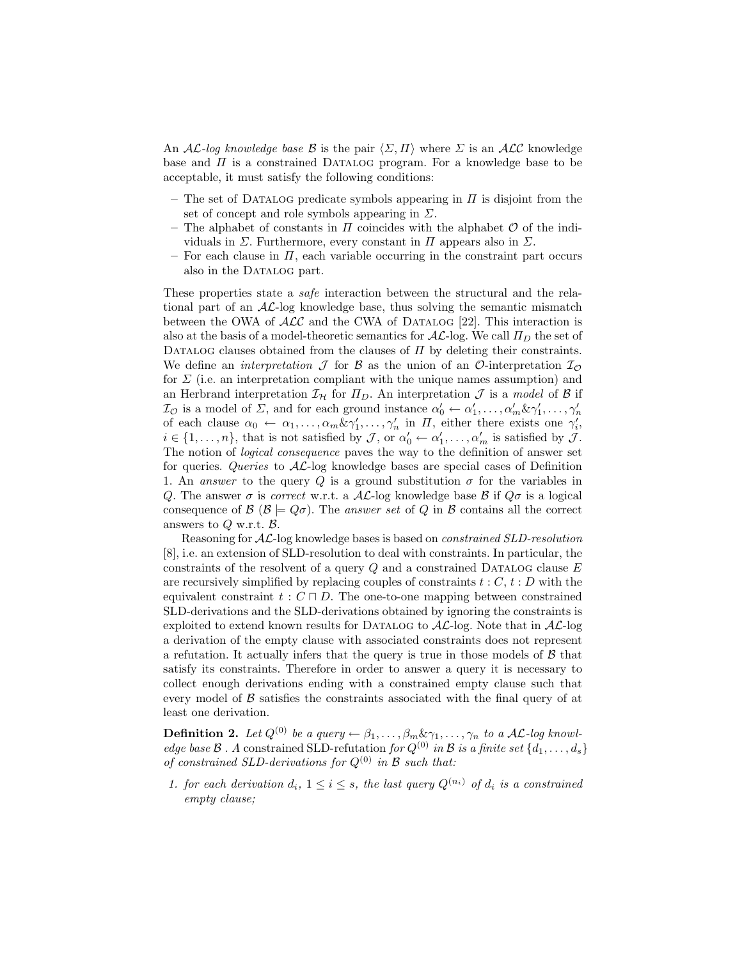An AL-log knowledge base B is the pair  $\langle \Sigma, \Pi \rangle$  where  $\Sigma$  is an ALC knowledge base and  $\Pi$  is a constrained DATALOG program. For a knowledge base to be acceptable, it must satisfy the following conditions:

- The set of DATALOG predicate symbols appearing in  $\Pi$  is disjoint from the set of concept and role symbols appearing in  $\Sigma$ .
- The alphabet of constants in  $\Pi$  coincides with the alphabet  $\mathcal O$  of the individuals in  $\Sigma$ . Furthermore, every constant in  $\Pi$  appears also in  $\Sigma$ .
- $-$  For each clause in  $\Pi$ , each variable occurring in the constraint part occurs also in the DATALOG part.

These properties state a safe interaction between the structural and the relational part of an  $A\mathcal{L}$ -log knowledge base, thus solving the semantic mismatch between the OWA of  $\mathcal{ALC}$  and the CWA of DATALOG [22]. This interaction is also at the basis of a model-theoretic semantics for  $A\mathcal{L}$ -log. We call  $\Pi_D$  the set of DATALOG clauses obtained from the clauses of  $\Pi$  by deleting their constraints. We define an *interpretation*  $\mathcal J$  for  $\mathcal B$  as the union of an  $\mathcal O$ -interpretation  $\mathcal I_{\mathcal O}$ for  $\Sigma$  (i.e. an interpretation compliant with the unique names assumption) and an Herbrand interpretation  $\mathcal{I}_{H}$  for  $\Pi_{D}$ . An interpretation  $\mathcal{J}$  is a model of  $\mathcal{B}$  if  $\mathcal{I}_{\mathcal{O}}$  is a model of  $\Sigma$ , and for each ground instance  $\alpha'_0 \leftarrow \alpha'_1, \ldots, \alpha'_m \& \gamma'_1, \ldots, \gamma'_n$ of each clause  $\alpha_0 \leftarrow \alpha_1, \ldots, \alpha_m \& \gamma'_1, \ldots, \gamma'_n$  in  $\Pi$ , either there exists one  $\gamma'_i$ ,  $i \in \{1, \ldots, n\}$ , that is not satisfied by  $\mathcal{J}$ , or  $\alpha'_0 \leftarrow \alpha'_1, \ldots, \alpha'_m$  is satisfied by  $\mathcal{J}$ . The notion of logical consequence paves the way to the definition of answer set for queries. Queries to  $A\mathcal{L}$ -log knowledge bases are special cases of Definition 1. An answer to the query Q is a ground substitution  $\sigma$  for the variables in Q. The answer  $\sigma$  is correct w.r.t. a AL-log knowledge base B if  $Q\sigma$  is a logical consequence of  $\mathcal{B}$  ( $\mathcal{B} \models Q\sigma$ ). The answer set of Q in  $\mathcal{B}$  contains all the correct answers to  $Q$  w.r.t.  $B$ .

Reasoning for AL-log knowledge bases is based on constrained SLD-resolution [8], i.e. an extension of SLD-resolution to deal with constraints. In particular, the constraints of the resolvent of a query  $Q$  and a constrained DATALOG clause  $E$ are recursively simplified by replacing couples of constraints  $t : C, t : D$  with the equivalent constraint  $t : C \sqcap D$ . The one-to-one mapping between constrained SLD-derivations and the SLD-derivations obtained by ignoring the constraints is exploited to extend known results for DATALOG to  $A\mathcal{L}$ -log. Note that in  $A\mathcal{L}$ -log a derivation of the empty clause with associated constraints does not represent a refutation. It actually infers that the query is true in those models of  $\beta$  that satisfy its constraints. Therefore in order to answer a query it is necessary to collect enough derivations ending with a constrained empty clause such that every model of  $\beta$  satisfies the constraints associated with the final query of at least one derivation.

**Definition 2.** Let  $Q^{(0)}$  be a query  $\leftarrow \beta_1, \ldots, \beta_m \& \gamma_1, \ldots, \gamma_n$  to a AL-log knowledge base  $\mathcal B$ . A constrained SLD-refutation for  $Q^{(0)}$  in  $\mathcal B$  is a finite set  $\{d_1, \ldots, d_s\}$ of constrained SLD-derivations for  $Q^{(0)}$  in B such that:

1. for each derivation  $d_i$ ,  $1 \leq i \leq s$ , the last query  $Q^{(n_i)}$  of  $d_i$  is a constrained empty clause;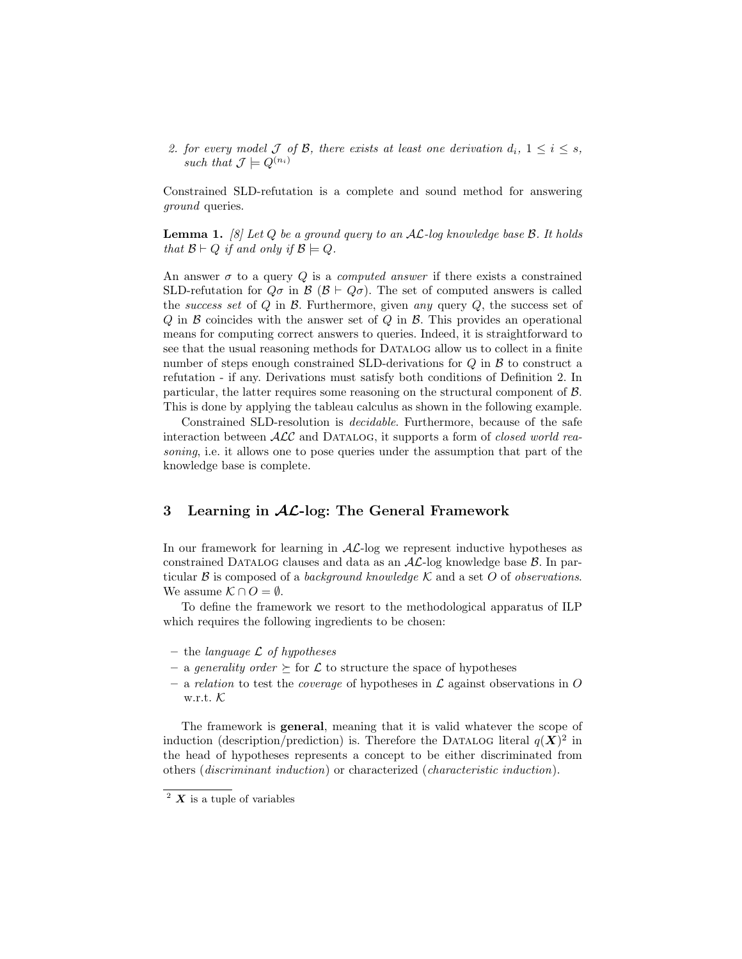2. for every model J of B, there exists at least one derivation  $d_i$ ,  $1 \leq i \leq s$ , such that  $\mathcal{J} \models Q^{(n_i)}$ 

Constrained SLD-refutation is a complete and sound method for answering ground queries.

**Lemma 1.** [8] Let Q be a ground query to an  $AL$ -log knowledge base  $\beta$ . It holds that  $\mathcal{B} \vdash Q$  if and only if  $\mathcal{B} \models Q$ .

An answer  $\sigma$  to a query Q is a *computed answer* if there exists a constrained SLD-refutation for  $Q\sigma$  in  $\mathcal{B}$  ( $\mathcal{B} \vdash Q\sigma$ ). The set of computed answers is called the success set of  $Q$  in  $B$ . Furthermore, given any query  $Q$ , the success set of  $Q$  in  $\beta$  coincides with the answer set of  $Q$  in  $\beta$ . This provides an operational means for computing correct answers to queries. Indeed, it is straightforward to see that the usual reasoning methods for Datalog allow us to collect in a finite number of steps enough constrained SLD-derivations for  $Q$  in  $B$  to construct a refutation - if any. Derivations must satisfy both conditions of Definition 2. In particular, the latter requires some reasoning on the structural component of B. This is done by applying the tableau calculus as shown in the following example.

Constrained SLD-resolution is decidable. Furthermore, because of the safe interaction between  $\mathcal{ALC}$  and DATALOG, it supports a form of *closed world rea*soning, i.e. it allows one to pose queries under the assumption that part of the knowledge base is complete.

## 3 Learning in  $AL$ -log: The General Framework

In our framework for learning in  $AL$ -log we represent inductive hypotheses as constrained DATALOG clauses and data as an  $AL$ -log knowledge base  $\beta$ . In particular  $\mathcal B$  is composed of a background knowledge  $\mathcal K$  and a set O of observations. We assume  $\mathcal{K} \cap O = \emptyset$ .

To define the framework we resort to the methodological apparatus of ILP which requires the following ingredients to be chosen:

- the language  $\mathcal L$  of hypotheses
- a generality order  $\succeq$  for  $\mathcal L$  to structure the space of hypotheses
- a relation to test the *coverage* of hypotheses in  $\mathcal L$  against observations in O w.r.t. K

The framework is general, meaning that it is valid whatever the scope of induction (description/prediction) is. Therefore the DATALOG literal  $q(X)^2$  in the head of hypotheses represents a concept to be either discriminated from others (discriminant induction) or characterized (characteristic induction).

 $2 \text{ X}$  is a tuple of variables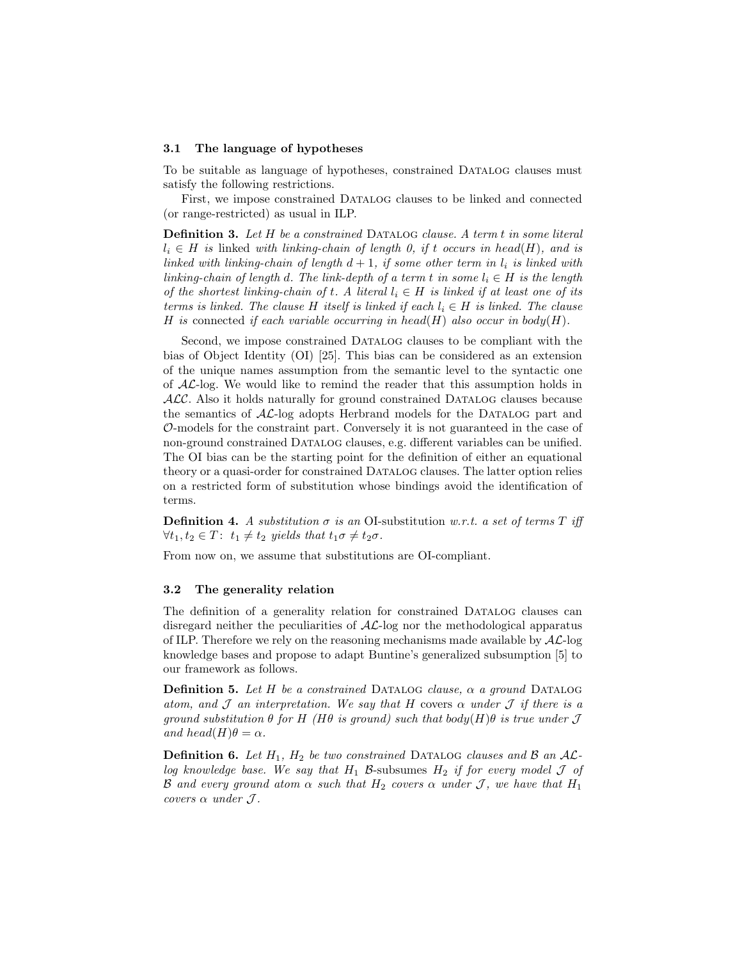#### 3.1 The language of hypotheses

To be suitable as language of hypotheses, constrained Datalog clauses must satisfy the following restrictions.

First, we impose constrained Datalog clauses to be linked and connected (or range-restricted) as usual in ILP.

Definition 3. Let H be a constrained DATALOG clause. A term t in some literal  $l_i \in H$  is linked with linking-chain of length 0, if t occurs in head(H), and is linked with linking-chain of length  $d+1$ , if some other term in  $l_i$  is linked with linking-chain of length d. The link-depth of a term t in some  $l_i \in H$  is the length of the shortest linking-chain of t. A literal  $l_i \in H$  is linked if at least one of its terms is linked. The clause H itself is linked if each  $l_i \in H$  is linked. The clause H is connected if each variable occurring in head(H) also occur in body(H).

Second, we impose constrained Datalog clauses to be compliant with the bias of Object Identity (OI) [25]. This bias can be considered as an extension of the unique names assumption from the semantic level to the syntactic one of AL-log. We would like to remind the reader that this assumption holds in  $ALC$ . Also it holds naturally for ground constrained DATALOG clauses because the semantics of  $AL$ -log adopts Herbrand models for the DATALOG part and O-models for the constraint part. Conversely it is not guaranteed in the case of non-ground constrained Datalog clauses, e.g. different variables can be unified. The OI bias can be the starting point for the definition of either an equational theory or a quasi-order for constrained Datalog clauses. The latter option relies on a restricted form of substitution whose bindings avoid the identification of terms.

**Definition 4.** A substitution  $\sigma$  is an OI-substitution w.r.t. a set of terms T iff  $\forall t_1, t_2 \in T: t_1 \neq t_2$  yields that  $t_1 \sigma \neq t_2 \sigma$ .

From now on, we assume that substitutions are OI-compliant.

#### 3.2 The generality relation

The definition of a generality relation for constrained Datalog clauses can disregard neither the peculiarities of AL-log nor the methodological apparatus of ILP. Therefore we rely on the reasoning mechanisms made available by  $A\mathcal{L}$ -log knowledge bases and propose to adapt Buntine's generalized subsumption [5] to our framework as follows.

**Definition 5.** Let H be a constrained DATALOG clause,  $\alpha$  a ground DATALOG atom, and  $\mathcal J$  an interpretation. We say that H covers  $\alpha$  under  $\mathcal J$  if there is a ground substitution  $\theta$  for H (H $\theta$  is ground) such that body(H) $\theta$  is true under  $\mathcal J$ and head(H) $\theta = \alpha$ .

**Definition 6.** Let  $H_1$ ,  $H_2$  be two constrained DATALOG clauses and  $\beta$  an  $\mathcal{AL}$ log knowledge base. We say that  $H_1$  B-subsumes  $H_2$  if for every model  $\mathcal J$  of B and every ground atom  $\alpha$  such that  $H_2$  covers  $\alpha$  under J, we have that  $H_1$ covers  $\alpha$  under  $\mathcal{J}.$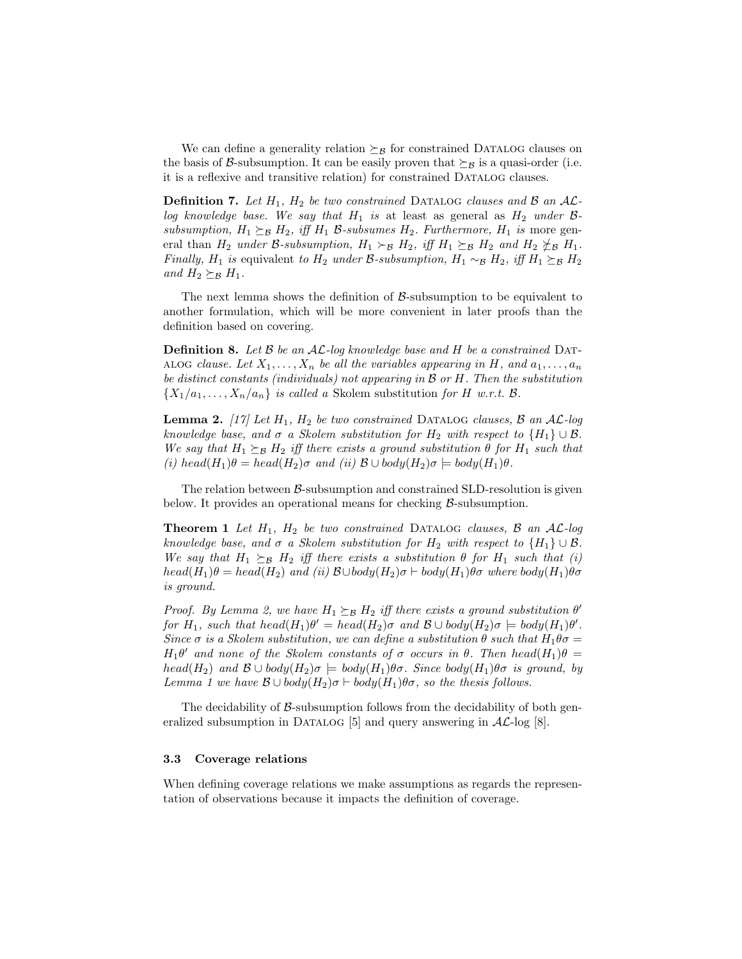We can define a generality relation  $\succeq_B$  for constrained DATALOG clauses on the basis of B-subsumption. It can be easily proven that  $\succeq_B$  is a quasi-order (i.e. it is a reflexive and transitive relation) for constrained Datalog clauses.

**Definition 7.** Let  $H_1$ ,  $H_2$  be two constrained DATALOG clauses and B an ALlog knowledge base. We say that  $H_1$  is at least as general as  $H_2$  under  $\beta$ subsumption,  $H_1 \succeq_B H_2$ , iff  $H_1$  B-subsumes  $H_2$ . Furthermore,  $H_1$  is more general than  $H_2$  under B-subsumption,  $H_1 \succ_B H_2$ , iff  $H_1 \succeq_B H_2$  and  $H_2 \not\preceq_B H_1$ . *Finally, H*<sub>1</sub> is equivalent to H<sub>2</sub> under B-subsumption, H<sub>1</sub> ∼<sub>B</sub> H<sub>2</sub>, iff H<sub>1</sub>  $\succeq$ <sub>B</sub> H<sub>2</sub> and  $H_2 \succeq_B H_1$ .

The next lemma shows the definition of  $\beta$ -subsumption to be equivalent to another formulation, which will be more convenient in later proofs than the definition based on covering.

**Definition 8.** Let  $\beta$  be an  $\mathcal{AL}$ -log knowledge base and  $H$  be a constrained DAT-ALOG clause. Let  $X_1, \ldots, X_n$  be all the variables appearing in H, and  $a_1, \ldots, a_n$ be distinct constants (individuals) not appearing in  $\beta$  or  $H$ . Then the substitution  $\{X_1/a_1, \ldots, X_n/a_n\}$  is called a Skolem substitution for H w.r.t. B.

**Lemma 2.** [17] Let  $H_1$ ,  $H_2$  be two constrained DATALOG clauses,  $\beta$  an  $\mathcal{AL}$ -log knowledge base, and  $\sigma$  a Skolem substitution for  $H_2$  with respect to  $\{H_1\} \cup \mathcal{B}$ . We say that  $H_1 \succeq_B H_2$  iff there exists a ground substitution  $\theta$  for  $H_1$  such that (i) head(H<sub>1</sub>) $\theta = head(H_2)\sigma$  and (ii)  $\mathcal{B} \cup body(H_2)\sigma \models body(H_1)\theta$ .

The relation between  $\beta$ -subsumption and constrained SLD-resolution is given below. It provides an operational means for checking  $\beta$ -subsumption.

**Theorem 1** Let  $H_1$ ,  $H_2$  be two constrained DATALOG clauses,  $\beta$  an  $AL$ -log knowledge base, and  $\sigma$  a Skolem substitution for  $H_2$  with respect to  $\{H_1\} \cup \mathcal{B}$ . We say that  $H_1 \succeq_B H_2$  iff there exists a substitution  $\theta$  for  $H_1$  such that (i)  $head(H_1)\theta = head(H_2)$  and (ii)  $\mathcal{B} \cup body(H_2)\sigma \vdash body(H_1)\theta\sigma$  where  $body(H_1)\theta\sigma$ is ground.

Proof. By Lemma 2, we have  $H_1 \succeq_B H_2$  iff there exists a ground substitution  $\theta'$ for  $H_1$ , such that  $head(H_1)\theta' = head(H_2)\sigma$  and  $\mathcal{B} \cup body(H_2)\sigma \models body(H_1)\theta'.$ Since  $\sigma$  is a Skolem substitution, we can define a substitution  $\theta$  such that  $H_1\theta\sigma =$  $H_1\theta'$  and none of the Skolem constants of  $\sigma$  occurs in  $\theta$ . Then head $(H_1)\theta =$ head(H<sub>2</sub>) and  $\mathcal{B} \cup \text{body}(H_2)\sigma = \text{body}(H_1)\theta\sigma$ . Since  $\text{body}(H_1)\theta\sigma$  is ground, by Lemma 1 we have  $\mathcal{B} \cup \text{body}(H_2)\sigma \vdash \text{body}(H_1)\theta\sigma$ , so the thesis follows.

The decidability of B-subsumption follows from the decidability of both generalized subsumption in DATALOG [5] and query answering in  $\mathcal{AL}$ -log [8].

#### 3.3 Coverage relations

When defining coverage relations we make assumptions as regards the representation of observations because it impacts the definition of coverage.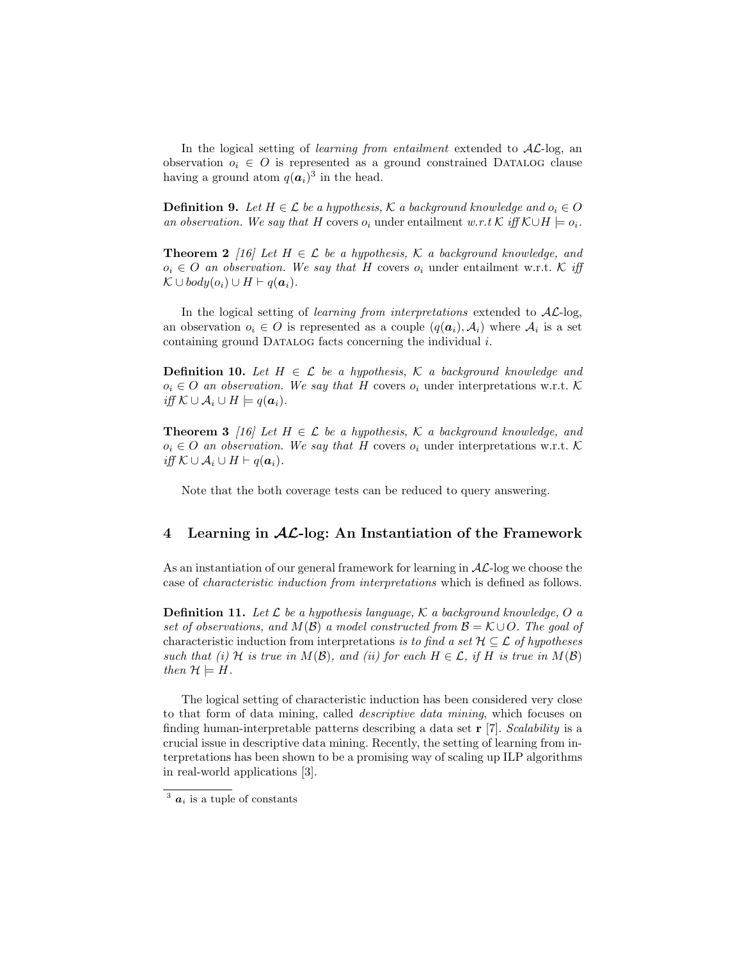In the logical setting of *learning from entailment* extended to  $AL$ -log, an observation  $o_i \in O$  is represented as a ground constrained DATALOG clause having a ground atom  $q(\boldsymbol{a}_i)^3$  in the head.

**Definition 9.** Let  $H \in \mathcal{L}$  be a hypothesis, K a background knowledge and  $o_i \in O$ an observation. We say that H covers  $o_i$  under entailment w.r.t K iff  $\mathcal{K} \cup H \models o_i$ .

**Theorem 2** [16] Let  $H \in \mathcal{L}$  be a hypothesis,  $\mathcal{K}$  a background knowledge, and  $o_i \in O$  an observation. We say that H covers  $o_i$  under entailment w.r.t. K iff  $\mathcal{K} \cup \text{body}(o_i) \cup H \vdash q(\boldsymbol{a}_i).$ 

In the logical setting of *learning from interpretations* extended to  $AL$ -log, an observation  $o_i \in O$  is represented as a couple  $(q(\boldsymbol{a}_i), \mathcal{A}_i)$  where  $\mathcal{A}_i$  is a set containing ground DATALOG facts concerning the individual i.

**Definition 10.** Let  $H \in \mathcal{L}$  be a hypothesis,  $\mathcal{K}$  a background knowledge and  $o_i \in O$  an observation. We say that H covers  $o_i$  under interpretations w.r.t. K iff  $\mathcal{K} \cup \mathcal{A}_i \cup H \models q(\boldsymbol{a}_i)$ .

**Theorem 3** [16] Let  $H \in \mathcal{L}$  be a hypothesis,  $\mathcal{K}$  a background knowledge, and  $o_i \in O$  an observation. We say that H covers  $o_i$  under interpretations w.r.t. K *iff*  $K \cup A_i \cup H \vdash q(a_i)$ .

Note that the both coverage tests can be reduced to query answering.

## 4 Learning in  $AL$ -log: An Instantiation of the Framework

As an instantiation of our general framework for learning in  $\mathcal{AL}$ -log we choose the case of characteristic induction from interpretations which is defined as follows.

**Definition 11.** Let  $\mathcal L$  be a hypothesis language,  $\mathcal K$  a background knowledge, O a set of observations, and  $M(\mathcal{B})$  a model constructed from  $\mathcal{B} = \mathcal{K} \cup O$ . The goal of characteristic induction from interpretations is to find a set  $\mathcal{H} \subseteq \mathcal{L}$  of hypotheses such that (i) H is true in  $M(\mathcal{B})$ , and (ii) for each  $H \in \mathcal{L}$ , if H is true in  $M(\mathcal{B})$ then  $\mathcal{H} \models H$ .

The logical setting of characteristic induction has been considered very close to that form of data mining, called descriptive data mining, which focuses on finding human-interpretable patterns describing a data set  $r$  [7]. Scalability is a crucial issue in descriptive data mining. Recently, the setting of learning from interpretations has been shown to be a promising way of scaling up ILP algorithms in real-world applications [3].

 $\overline{3}$   $\overline{a_i}$  is a tuple of constants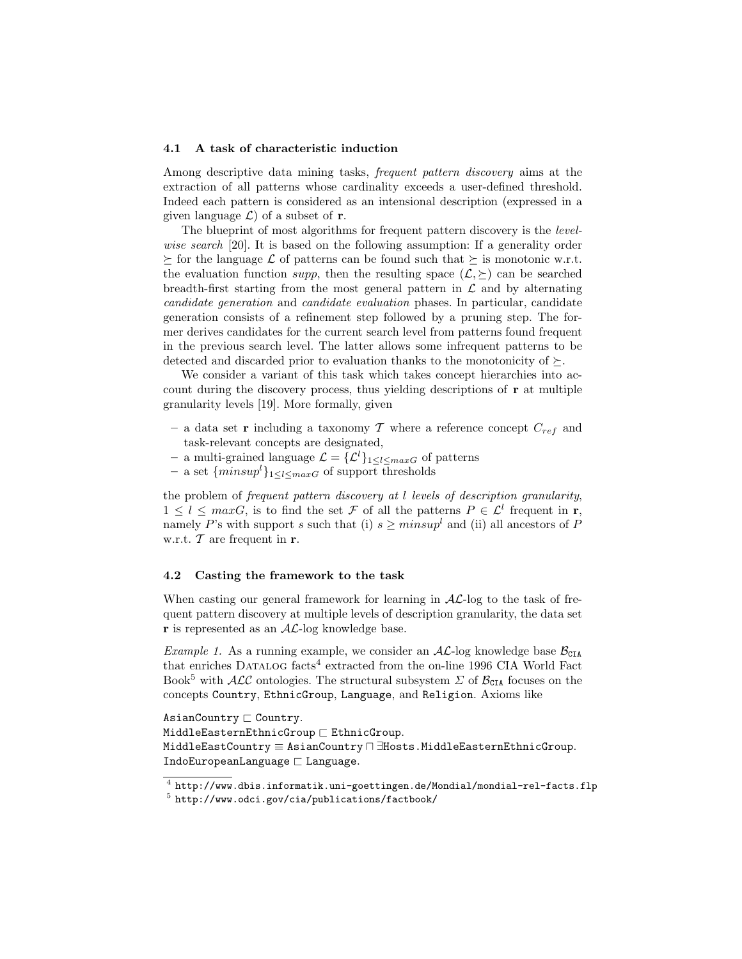### 4.1 A task of characteristic induction

Among descriptive data mining tasks, frequent pattern discovery aims at the extraction of all patterns whose cardinality exceeds a user-defined threshold. Indeed each pattern is considered as an intensional description (expressed in a given language  $\mathcal{L}$  of a subset of **r**.

The blueprint of most algorithms for frequent pattern discovery is the levelwise search [20]. It is based on the following assumption: If a generality order  $f \geq$  for the language  $\mathcal L$  of patterns can be found such that  $\geq$  is monotonic w.r.t. the evaluation function supp, then the resulting space  $(\mathcal{L}, \succeq)$  can be searched breadth-first starting from the most general pattern in  $\mathcal L$  and by alternating candidate generation and candidate evaluation phases. In particular, candidate generation consists of a refinement step followed by a pruning step. The former derives candidates for the current search level from patterns found frequent in the previous search level. The latter allows some infrequent patterns to be detected and discarded prior to evaluation thanks to the monotonicity of  $\succeq$ .

We consider a variant of this task which takes concept hierarchies into account during the discovery process, thus yielding descriptions of r at multiple granularity levels [19]. More formally, given

- a data set **r** including a taxonomy T where a reference concept  $C_{ref}$  and task-relevant concepts are designated,
- a multi-grained language  $\mathcal{L} = \{\mathcal{L}^l\}_{1 \leq l \leq maxG}$  of patterns
- a set  $\{minus\{minus\}_{1\leq l\leq maxG}$  of support thresholds

the problem of frequent pattern discovery at l levels of description granularity,  $1 \leq l \leq maxG$ , is to find the set F of all the patterns  $P \in \mathcal{L}^l$  frequent in **r**, namely P's with support s such that (i)  $s \geq minsup^l$  and (ii) all ancestors of P w.r.t.  $\mathcal T$  are frequent in  $\mathbf r$ .

#### 4.2 Casting the framework to the task

When casting our general framework for learning in  $AL$ -log to the task of frequent pattern discovery at multiple levels of description granularity, the data set  $\bf{r}$  is represented as an  $AL$ -log knowledge base.

*Example 1.* As a running example, we consider an  $AL$ -log knowledge base  $B_{CLA}$ that enriches DATALOG facts<sup>4</sup> extracted from the on-line 1996 CIA World Fact Book<sup>5</sup> with  $\mathcal{ALC}$  ontologies. The structural subsystem  $\Sigma$  of  $\mathcal{B}_{\text{CIA}}$  focuses on the concepts Country, EthnicGroup, Language, and Religion. Axioms like

 $\mathtt{AsianCountry} \sqsubset \mathtt{Country}.$  $MiddeEasternEthnicGroup \sqsubset EthnicGroup.$ MiddleEastCountry ≡ AsianCountry n ∃Hosts.MiddleEasternEthnicGroup. IndoEuropeanLanguage  $\sqsubset$  Language.

 $^4$  http://www.dbis.informatik.uni-goettingen.de/Mondial/mondial-rel-facts.flp  $^5$ http://www.odci.gov/cia/publications/factbook/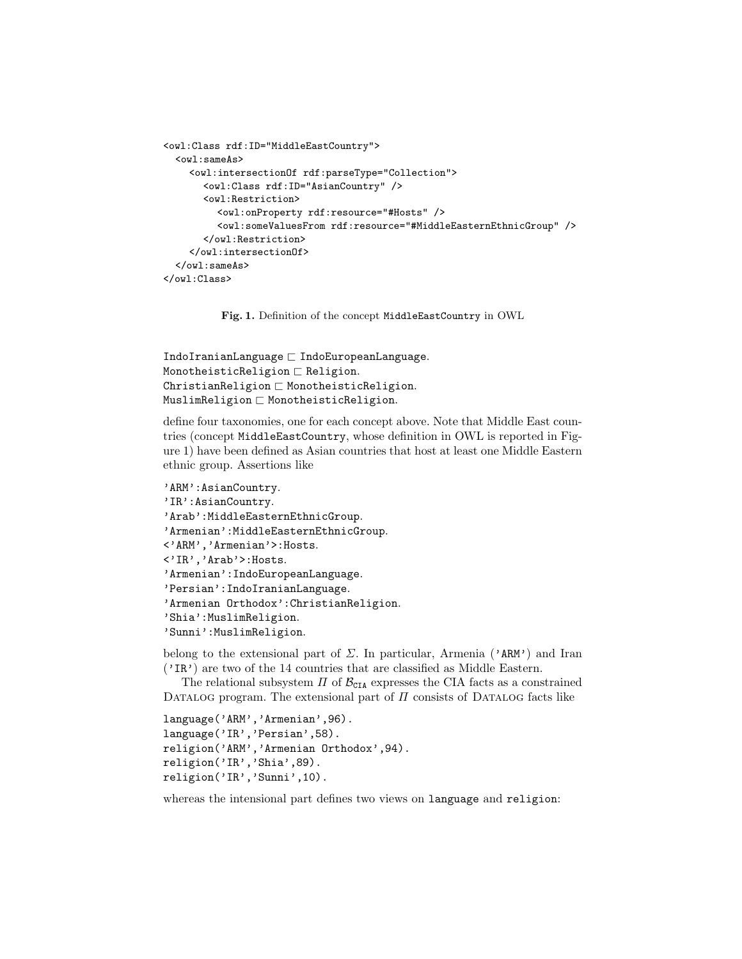```
<owl:Class rdf:ID="MiddleEastCountry">
  <owl:sameAs>
    <owl:intersectionOf rdf:parseType="Collection">
       <owl:Class rdf:ID="AsianCountry" />
      <owl:Restriction>
         <owl:onProperty rdf:resource="#Hosts" />
         <owl:someValuesFrom rdf:resource="#MiddleEasternEthnicGroup" />
       </owl:Restriction>
    </owl:intersectionOf>
  </owl:sameAs>
</owl:Class>
```
Fig. 1. Definition of the concept MiddleEastCountry in OWL

```
IndoIranianLanguage \sqsubset IndoEuropeanLanguage.MonotheisticReligion \sqsubset Religion.ChristianReligion \sqsubset MonotheisticReligion.MuslimReligion \sqsubset MonotheisticReligion.
```
define four taxonomies, one for each concept above. Note that Middle East countries (concept MiddleEastCountry, whose definition in OWL is reported in Figure 1) have been defined as Asian countries that host at least one Middle Eastern ethnic group. Assertions like

```
'ARM':AsianCountry.
'IR':AsianCountry.
'Arab':MiddleEasternEthnicGroup.
'Armenian':MiddleEasternEthnicGroup.
<'ARM','Armenian'>:Hosts.
<'IR','Arab'>:Hosts.
'Armenian':IndoEuropeanLanguage.
'Persian':IndoIranianLanguage.
'Armenian Orthodox':ChristianReligion.
'Shia':MuslimReligion.
'Sunni':MuslimReligion.
```
belong to the extensional part of  $\Sigma$ . In particular, Armenia ('ARM') and Iran ('IR') are two of the 14 countries that are classified as Middle Eastern.

The relational subsystem  $\Pi$  of  $\mathcal{B}_{\text{CIA}}$  expresses the CIA facts as a constrained DATALOG program. The extensional part of  $\Pi$  consists of DATALOG facts like

```
language('ARM','Armenian',96).
language('IR','Persian',58).
religion('ARM','Armenian Orthodox',94).
religion('IR','Shia',89).
religion('IR','Sunni',10).
```
whereas the intensional part defines two views on language and religion: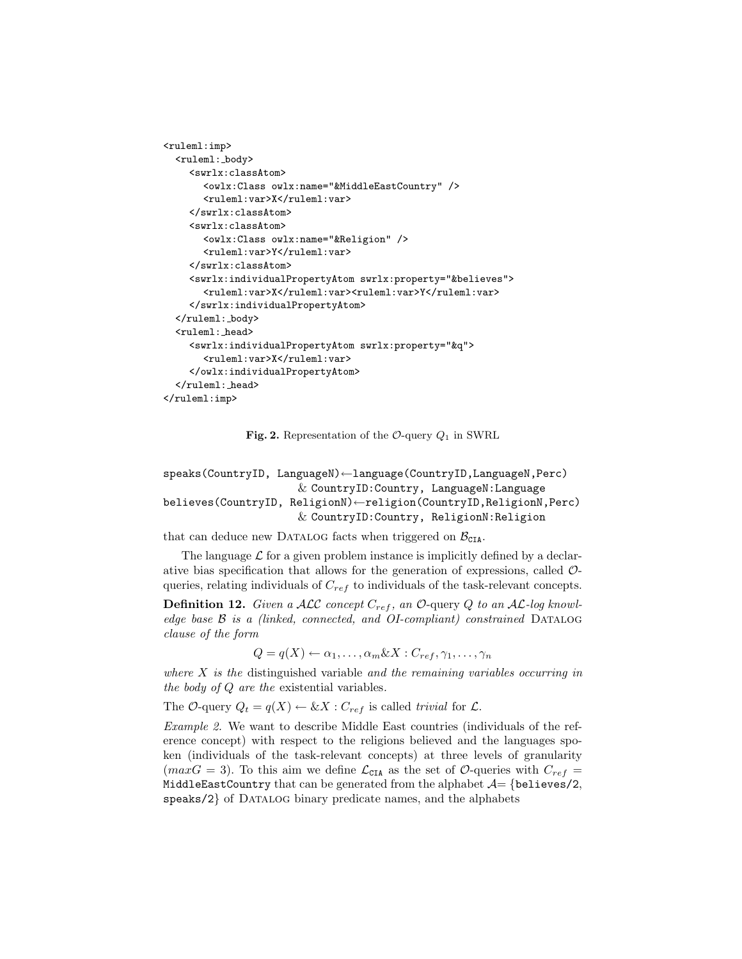```
<ruleml:imp>
  <ruleml: body>
    <swrlx:classAtom>
       <owlx:Class owlx:name="&MiddleEastCountry" />
       <ruleml:var>X</ruleml:var>
    </swrlx:classAtom>
    <swrlx:classAtom>
       <owlx:Class owlx:name="&Religion" />
       <ruleml:var>Y</ruleml:var>
    </swrlx:classAtom>
    <swrlx:individualPropertyAtom swrlx:property="&believes">
       <ruleml:var>X</ruleml:var><ruleml:var>Y</ruleml:var>
    </swrlx:individualPropertyAtom>
  </ruleml: body>
  <ruleml: head>
    <swrlx:individualPropertyAtom swrlx:property="&q">
       <ruleml:var>X</ruleml:var>
    </owlx:individualPropertyAtom>
  </ruleml: head>
\langleruleml:imp>
```
Fig. 2. Representation of the  $\mathcal{O}\text{-}$ query  $Q_1$  in SWRL

```
speaks(CountryID, LanguageN)←language(CountryID,LanguageN,Perc)
                     & CountryID:Country, LanguageN:Language
believes(CountryID, ReligionN)←religion(CountryID,ReligionN,Perc)
                     & CountryID:Country, ReligionN:Religion
```
that can deduce new DATALOG facts when triggered on  $\mathcal{B}_{\text{CIA}}$ .

The language  $\mathcal L$  for a given problem instance is implicitly defined by a declarative bias specification that allows for the generation of expressions, called  $\mathcal{O}$ queries, relating individuals of  $C_{ref}$  to individuals of the task-relevant concepts.

**Definition 12.** Given a ALC concept  $C_{ref}$ , an  $\mathcal{O}\text{-}$  query Q to an AL-log knowledge base  $\beta$  is a (linked, connected, and OI-compliant) constrained DATALOG clause of the form

 $Q = q(X) \leftarrow \alpha_1, \ldots, \alpha_m \& X : C_{ref}, \gamma_1, \ldots, \gamma_n$ 

where  $X$  is the distinguished variable and the remaining variables occurring in the body of Q are the existential variables.

The O-query  $Q_t = q(X) \leftarrow \& X : C_{ref}$  is called trivial for  $\mathcal{L}$ .

Example 2. We want to describe Middle East countries (individuals of the reference concept) with respect to the religions believed and the languages spoken (individuals of the task-relevant concepts) at three levels of granularity (max $G = 3$ ). To this aim we define  $\mathcal{L}_{\text{CIA}}$  as the set of  $\mathcal{O}_{\text{u}'}$  queries with  $C_{ref} =$ MiddleEastCountry that can be generated from the alphabet  $\mathcal{A} = \{\text{believes}/2,$ speaks/2} of DATALOG binary predicate names, and the alphabets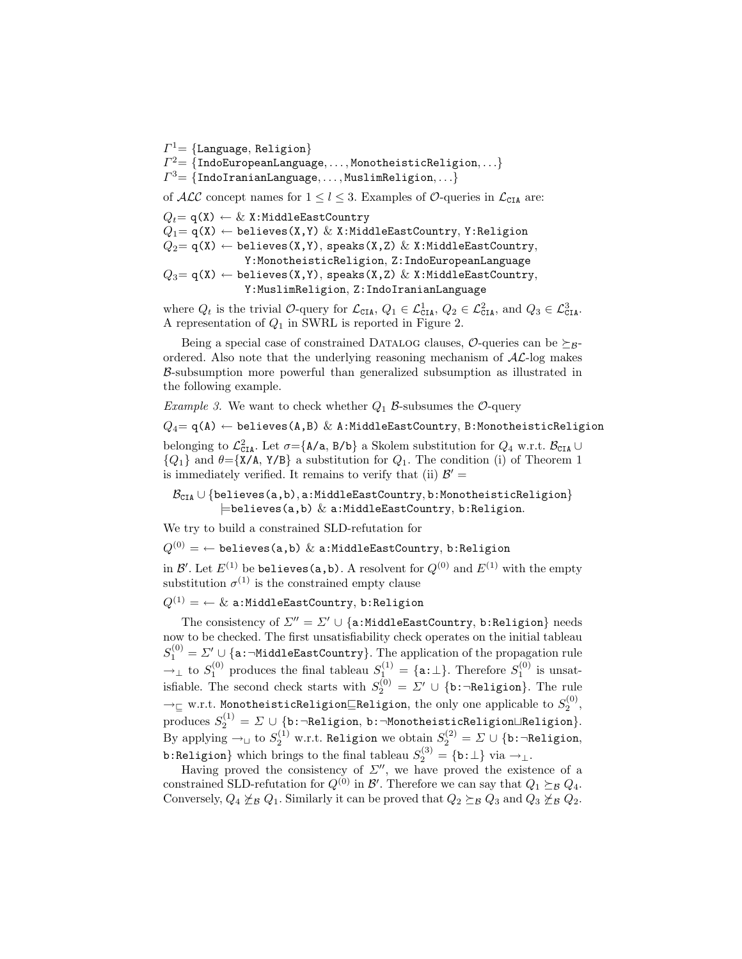$\varGamma^1\mathcal{=}~\{\texttt{Language},~\texttt{Religion}\}$ 

 $\mathit{\Gamma}^{2}{=}\text{ }\{\text{IndoEuropeanLanguage},\ldots,\text{MonotheisticRelation},\ldots\}$ 

 $\varGamma^3{=}\left\{ \texttt{IndolranianLanguage},\dots,\texttt{MuslimReligion},\dots\right\}$ 

of ALC concept names for  $1 \leq l \leq 3$ . Examples of O-queries in  $\mathcal{L}_{\text{CIA}}$  are:

 $Q_t = \mathsf{q}(\mathsf{X}) \leftarrow \& \ \mathsf{X}:\mathtt{MiddleEastCountry}$  $Q_1 = q(X) \leftarrow$  believes(X,Y) & X:MiddleEastCountry, Y:Religion  $Q_2 = q(X) \leftarrow$  believes(X,Y), speaks(X,Z) & X:MiddleEastCountry, Y:MonotheisticReligion, Z:IndoEuropeanLanguage  $Q_3 = q(X) \leftarrow$  believes(X,Y), speaks(X,Z) & X:MiddleEastCountry, Y:MuslimReligion, Z:IndoIranianLanguage

where  $Q_t$  is the trivial O-query for  $\mathcal{L}_{\text{CIA}}$ ,  $Q_1 \in \mathcal{L}_{\text{CIA}}^1$ ,  $Q_2 \in \mathcal{L}_{\text{CIA}}^2$ , and  $Q_3 \in \mathcal{L}_{\text{CIA}}^3$ . A representation of  $Q_1$  in SWRL is reported in Figure 2.

Being a special case of constrained DATALOG clauses,  $\mathcal{O}\text{-}$ queries can be  $\succeq_{\mathcal{B}}\text{-}$ ordered. Also note that the underlying reasoning mechanism of  $AL$ -log makes B-subsumption more powerful than generalized subsumption as illustrated in the following example.

*Example 3.* We want to check whether  $Q_1$   $\beta$ -subsumes the  $\mathcal{O}$ -query

 $Q_4$ = q(A)  $\leftarrow$  believes(A,B) & A:MiddleEastCountry, B:MonotheisticReligion belonging to  $\mathcal{L}^2_{\texttt{CIA}}$ . Let  $\sigma = {\texttt{A/a}, \texttt{B/b}}$  a Skolem substitution for  $Q_4$  w.r.t.  $\mathcal{B}_{\texttt{CIA}} \cup$  ${Q_1}$  and  $\theta = \{X/A, Y/B\}$  a substitution for  $Q_1$ . The condition (i) of Theorem 1 is immediately verified. It remains to verify that (ii)  $\mathcal{B}' =$ 

 $\mathcal{B}_{\text{CIA}} \cup \{\text{believes}(a, b), a:\text{MiddeEastCountry}, b:\text{MonotheisticReligion}\}\$  $\models$ believes(a,b)  $\&$  a:MiddleEastCountry, b:Religion.

We try to build a constrained SLD-refutation for

 $Q^{(0)} = \leftarrow$  believes(a,b) & a:MiddleEastCountry, b:Religion

in  $\mathcal{B}'.$  Let  $E^{(1)}$  be <code>believes(a,b)</code> . A resolvent for  $Q^{(0)}$  and  $E^{(1)}$  with the empty substitution  $\sigma^{(1)}$  is the constrained empty clause

# $Q^{(1)} = \leftarrow \&$  a:MiddleEastCountry, b:Religion

The consistency of  $\Sigma'' = \Sigma' \cup \{a: MiddleEastCountry, b:Religion\}$  needs now to be checked. The first unsatisfiability check operates on the initial tableau  $S_{1}^{(0)} = \varSigma' \cup \{\texttt{a:}\neg \texttt{MiddleEastCountry}\}.$  The application of the propagation rule  $\rightarrow_{\perp}$  to  $S_1^{(0)}$  produces the final tableau  $S_1^{(1)} = {\texttt{a}: \perp}.$  Therefore  $S_1^{(0)}$  is unsatisfiable. The second check starts with  $S_2^{(0)} = \Sigma' \cup \{\texttt{b:}\neg \texttt{Religion}\}.$  The rule  $\rightarrow_\sqsubseteq$  w.r.t. MonotheisticReligion $\sqsubseteq$ Religion, the only one applicable to  $S_2^{(0)},$  $\text{produces } S_2^{(1)} = \varSigma \cup \{\texttt{b:} \neg \texttt{Religion}, \, \texttt{b:} \neg \texttt{MonotheisticReligion} \sqcup \texttt{Religion}\}.$ By applying  $\rightarrow_\sqcup$  to  $S_2^{(1)}$  w.r.t. Religion we obtain  $S_2^{(2)} = \varSigma \cup \{\mathtt{b}\colon \neg \mathtt{Religion},$ b:Religion} which brings to the final tableau  $S_2^{(3)} = \{\mathtt{b}:\bot\}$  via  $\rightarrow_\bot$ .

Having proved the consistency of  $\Sigma''$ , we have proved the existence of a constrained SLD-refutation for  $Q^{(0)}$  in  $\mathcal{B}'$ . Therefore we can say that  $Q_1 \succeq_{\mathcal{B}} Q_4$ . Conversely,  $Q_4 \not\succeq_B Q_1$ . Similarly it can be proved that  $Q_2 \succeq_B Q_3$  and  $Q_3 \not\succeq_B Q_2$ .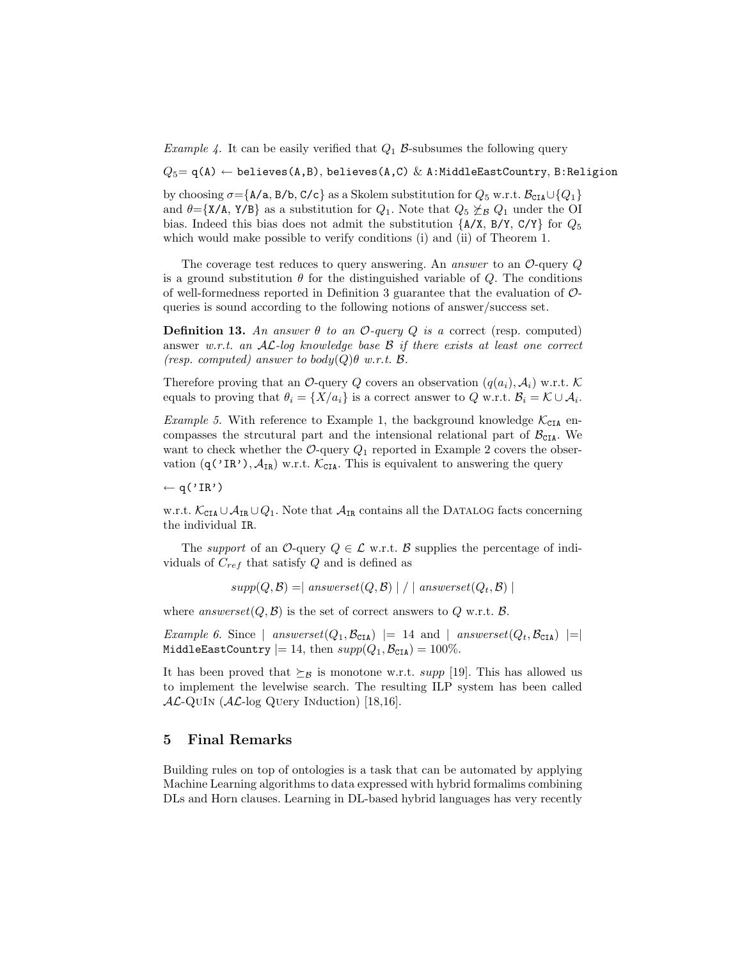*Example 4.* It can be easily verified that  $Q_1$   $\beta$ -subsumes the following query

 $Q_5 = q(A) \leftarrow$  believes(A,B), believes(A,C) & A:MiddleEastCountry, B:Religion

by choosing  $\sigma = \{A/a, B/b, C/c\}$  as a Skolem substitution for  $Q_5$  w.r.t.  $\mathcal{B}_{\text{CIA}} \cup \{Q_1\}$ and  $\theta = \{X/A, Y/B\}$  as a substitution for  $Q_1$ . Note that  $Q_5 \not\geq_B Q_1$  under the OI bias. Indeed this bias does not admit the substitution  $\{A/X, B/Y, C/Y\}$  for  $Q_5$ which would make possible to verify conditions (i) and (ii) of Theorem 1.

The coverage test reduces to query answering. An answer to an  $\mathcal{O}\text{-}$ query  $Q$ is a ground substitution  $\theta$  for the distinguished variable of Q. The conditions of well-formedness reported in Definition 3 guarantee that the evaluation of  $\mathcal{O}$ queries is sound according to the following notions of answer/success set.

**Definition 13.** An answer  $\theta$  to an  $\mathcal{O}$ -query  $Q$  is a correct (resp. computed) answer w.r.t. an  $AL$ -log knowledge base  $B$  if there exists at least one correct (resp. computed) answer to body( $Q$ ) $\theta$  w.r.t.  $\beta$ .

Therefore proving that an O-query Q covers an observation  $(q(a_i), \mathcal{A}_i)$  w.r.t. K equals to proving that  $\theta_i = \{X/a_i\}$  is a correct answer to Q w.r.t.  $\mathcal{B}_i = \mathcal{K} \cup \mathcal{A}_i$ .

*Example 5.* With reference to Example 1, the background knowledge  $\mathcal{K}_{\text{CIA}}$  encompasses the strcutural part and the intensional relational part of  $\mathcal{B}_{\text{CIA}}$ . We want to check whether the  $\mathcal{O}_{\text{-query}} Q_1$  reported in Example 2 covers the observation  $(q('IR'), A_{IR})$  w.r.t.  $\mathcal{K}_{\text{CIA}}$ . This is equivalent to answering the query

 $\leftarrow$  q('IR')

w.r.t.  $\mathcal{K}_{\texttt{CIA}} \cup \mathcal{A}_{\texttt{IR}} \cup Q_1$ . Note that  $\mathcal{A}_{\texttt{IR}}$  contains all the DATALOG facts concerning the individual IR.

The support of an O-query  $Q \in \mathcal{L}$  w.r.t. B supplies the percentage of individuals of  $C_{ref}$  that satisfy Q and is defined as

 $supp(Q, \mathcal{B}) = |$  answerset $(Q, \mathcal{B}) | / |$  answerset $(Q_t, \mathcal{B}) |$ 

where answerset $(Q, \mathcal{B})$  is the set of correct answers to Q w.r.t.  $\mathcal{B}$ .

Example 6. Since | answerset $(Q_1, \mathcal{B}_{\text{CIA}})$  |= 14 and | answerset $(Q_t, \mathcal{B}_{\text{CIA}})$  |=| MiddleEastCountry  $= 14$ , then  $supp(Q_1, \mathcal{B}_{\texttt{CIA}}) = 100\%$ .

It has been proved that  $\succeq_B$  is monotone w.r.t. supp [19]. This has allowed us to implement the levelwise search. The resulting ILP system has been called  $AL$ -QUIN ( $AL$ -log Query Induction) [18,16].

## 5 Final Remarks

Building rules on top of ontologies is a task that can be automated by applying Machine Learning algorithms to data expressed with hybrid formalims combining DLs and Horn clauses. Learning in DL-based hybrid languages has very recently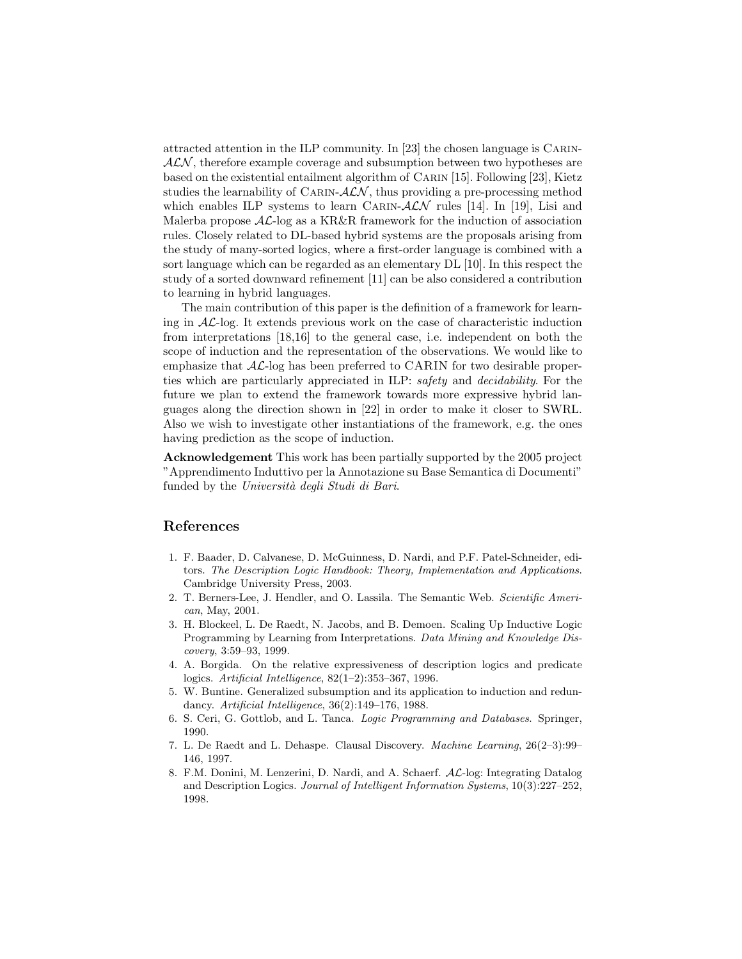attracted attention in the ILP community. In [23] the chosen language is Carin- $ALN$ , therefore example coverage and subsumption between two hypotheses are based on the existential entailment algorithm of Carin [15]. Following [23], Kietz studies the learnability of CARIN- $ALN$ , thus providing a pre-processing method which enables ILP systems to learn CARIN- $ALN$  rules [14]. In [19], Lisi and Malerba propose  $AL$ -log as a KR&R framework for the induction of association rules. Closely related to DL-based hybrid systems are the proposals arising from the study of many-sorted logics, where a first-order language is combined with a sort language which can be regarded as an elementary DL [10]. In this respect the study of a sorted downward refinement [11] can be also considered a contribution to learning in hybrid languages.

The main contribution of this paper is the definition of a framework for learning in  $AL$ -log. It extends previous work on the case of characteristic induction from interpretations [18,16] to the general case, i.e. independent on both the scope of induction and the representation of the observations. We would like to emphasize that  $AL$ -log has been preferred to CARIN for two desirable properties which are particularly appreciated in ILP: safety and decidability. For the future we plan to extend the framework towards more expressive hybrid languages along the direction shown in [22] in order to make it closer to SWRL. Also we wish to investigate other instantiations of the framework, e.g. the ones having prediction as the scope of induction.

Acknowledgement This work has been partially supported by the 2005 project "Apprendimento Induttivo per la Annotazione su Base Semantica di Documenti" funded by the Università degli Studi di Bari.

## References

- 1. F. Baader, D. Calvanese, D. McGuinness, D. Nardi, and P.F. Patel-Schneider, editors. The Description Logic Handbook: Theory, Implementation and Applications. Cambridge University Press, 2003.
- 2. T. Berners-Lee, J. Hendler, and O. Lassila. The Semantic Web. Scientific American, May, 2001.
- 3. H. Blockeel, L. De Raedt, N. Jacobs, and B. Demoen. Scaling Up Inductive Logic Programming by Learning from Interpretations. Data Mining and Knowledge Discovery, 3:59–93, 1999.
- 4. A. Borgida. On the relative expressiveness of description logics and predicate logics. Artificial Intelligence, 82(1–2):353–367, 1996.
- 5. W. Buntine. Generalized subsumption and its application to induction and redundancy. Artificial Intelligence, 36(2):149–176, 1988.
- 6. S. Ceri, G. Gottlob, and L. Tanca. Logic Programming and Databases. Springer, 1990.
- 7. L. De Raedt and L. Dehaspe. Clausal Discovery. Machine Learning, 26(2–3):99– 146, 1997.
- 8. F.M. Donini, M. Lenzerini, D. Nardi, and A. Schaerf. AL-log: Integrating Datalog and Description Logics. Journal of Intelligent Information Systems, 10(3):227–252, 1998.